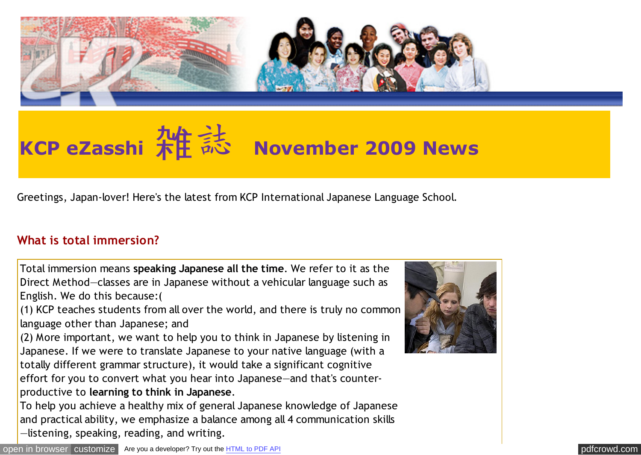

# **KCP eZasshi 米庄 志 November 2009 News**

Greetings, Japan-lover! Here's the latest from KCP International Japanese Language School.

#### **What is total immersion?**

Total immersion means **speaking Japanese all the time**. We refer to it as the Direct Method—classes are in Japanese without a vehicular language such as English. We do this because:(

(1) KCP teaches students from all over the world, and there is truly no common language other than Japanese; and

(2) More important, we want to help you to think in Japanese by listening in Japanese. If we were to translate Japanese to your native language (with a totally different grammar structure), it would take a significant cognitive effort for you to convert what you hear into Japanese—and that's counterproductive to **learning to think in Japanese**.

To help you achieve a healthy mix of general Japanese knowledge of Japanese and practical ability, we emphasize a balance among all 4 communication skills —listening, speaking, reading, and writing.

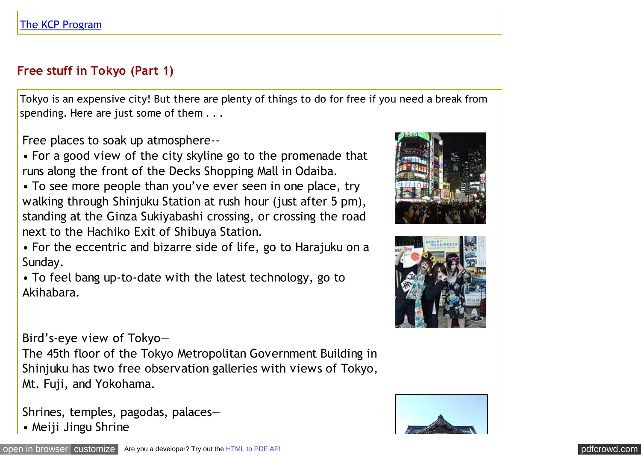# **Free stuff in Tokyo (Part 1)**

Tokyo is an expensive city! But there are plenty of things to do for free if you need a break from spending. Here are just some of them . . .

Free places to soak up atmosphere--

• For a good view of the city skyline go to the promenade that runs along the front of the Decks Shopping Mall in Odaiba.

• To see more people than you've ever seen in one place, try walking through Shinjuku Station at rush hour (just after 5 pm), standing at the Ginza Sukiyabashi crossing, or crossing the road next to the Hachiko Exit of Shibuya Station.

• For the eccentric and bizarre side of life, go to Harajuku on a Sunday.

• To feel bang up-to-date with the latest technology, go to Akihabara.

Bird's-eye view of Tokyo—

The 45th floor of the Tokyo Metropolitan Government Building in Shinjuku has two free observation galleries with views of Tokyo, Mt. Fuji, and Yokohama.

Shrines, temples, pagodas, palaces— • Meiji Jingu Shrine





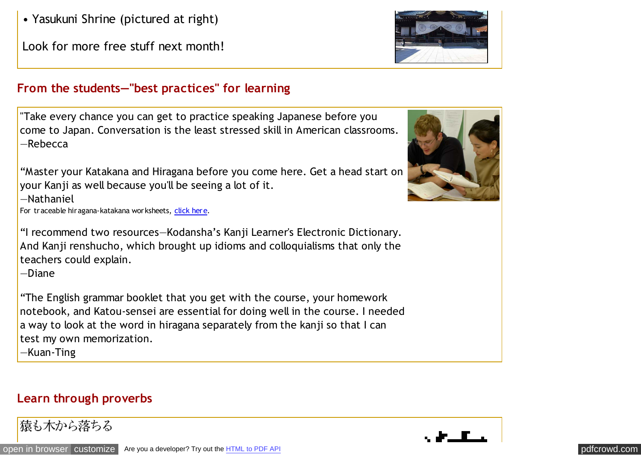Look for more free stuff next month!

## **From the students—"best practices" for learning**

"Take every chance you can get to practice speaking Japanese before you come to Japan. Conversation is the least stressed skill in American classrooms. —Rebecca

"Master your Katakana and Hiragana before you come here. Get a head start on your Kanji as well because you'll be seeing a lot of it.

—Nathaniel

For traceable hiragana-katakana worksheets, [click here.](http://pdfcrowd.com/redirect/?url=http%3a%2f%2fwww.kcpinternational.com%2fprogram%2fintensive_program.html%23olr&id=in-110620232941-0bcc3056)

"I recommend two resources—Kodansha's Kanji Learner's Electronic Dictionary. And Kanji renshucho, which brought up idioms and colloquialisms that only the teachers could explain.

—Diane

"The English grammar booklet that you get with the course, your homework notebook, and Katou-sensei are essential for doing well in the course. I needed a way to look at the word in hiragana separately from the kanji so that I can test my own memorization.

—Kuan-Ting

#### **Learn through proverbs**

猿も木から落ちる





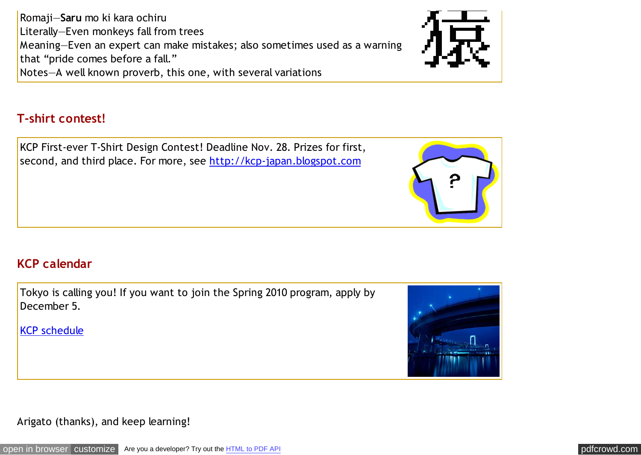Romaji—**Saru** mo ki kara ochiru Literally—Even monkeys fall from trees Meaning—Even an expert can make mistakes; also sometimes used as a warning that "pride comes before a fall." Notes—A well known proverb, this one, with several variations



#### **T-shirt contest!**

KCP First-ever T-Shirt Design Contest! Deadline Nov. 28. Prizes for first, second, and third place. For more, see [http://kcp-japan.blogspot.com](http://pdfcrowd.com/redirect/?url=http%3a%2f%2fkcp-japan.blogspot.com%2f&id=in-110620232941-0bcc3056)



# **KCP calendar**

Tokyo is calling you! If you want to join the Spring 2010 program, apply by December 5.

[KCP schedule](http://pdfcrowd.com/redirect/?url=http%3a%2f%2fwww.kcpinternational.com%2fschedule%2findex.html&id=in-110620232941-0bcc3056)



Arigato (thanks), and keep learning!